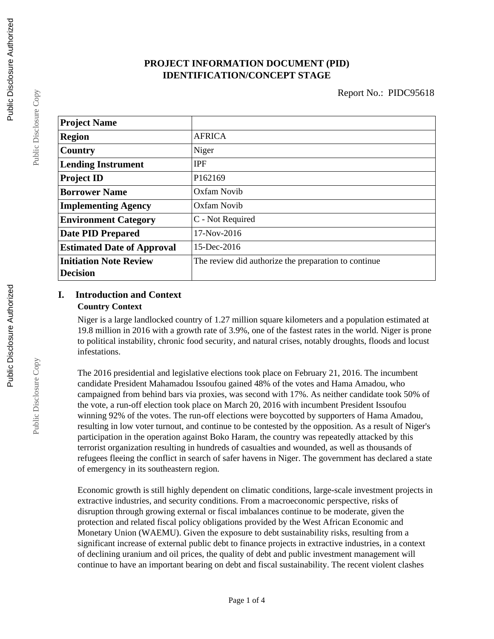# **PROJECT INFORMATION DOCUMENT (PID) IDENTIFICATION/CONCEPT STAGE**

| <b>Project Name</b>               |                                                      |
|-----------------------------------|------------------------------------------------------|
| <b>Region</b>                     | <b>AFRICA</b>                                        |
| Country                           | Niger                                                |
| <b>Lending Instrument</b>         | <b>IPF</b>                                           |
| <b>Project ID</b>                 | P <sub>162169</sub>                                  |
| <b>Borrower Name</b>              | Oxfam Novib                                          |
| <b>Implementing Agency</b>        | <b>Oxfam Novib</b>                                   |
| <b>Environment Category</b>       | C - Not Required                                     |
| <b>Date PID Prepared</b>          | 17-Nov-2016                                          |
| <b>Estimated Date of Approval</b> | 15-Dec-2016                                          |
| <b>Initiation Note Review</b>     | The review did authorize the preparation to continue |
| <b>Decision</b>                   |                                                      |

# **I. Introduction and Context Country Context**

Niger is a large landlocked country of 1.27 million square kilometers and a population estimated at 19.8 million in 2016 with a growth rate of 3.9%, one of the fastest rates in the world. Niger is prone to political instability, chronic food security, and natural crises, notably droughts, floods and locust infestations.

The 2016 presidential and legislative elections took place on February 21, 2016. The incumbent candidate President Mahamadou Issoufou gained 48% of the votes and Hama Amadou, who campaigned from behind bars via proxies, was second with 17%. As neither candidate took 50% of the vote, a run-off election took place on March 20, 2016 with incumbent President Issoufou winning 92% of the votes. The run-off elections were boycotted by supporters of Hama Amadou, resulting in low voter turnout, and continue to be contested by the opposition. As a result of Niger's participation in the operation against Boko Haram, the country was repeatedly attacked by this terrorist organization resulting in hundreds of casualties and wounded, as well as thousands of refugees fleeing the conflict in search of safer havens in Niger. The government has declared a state of emergency in its southeastern region.

Economic growth is still highly dependent on climatic conditions, large-scale investment projects in extractive industries, and security conditions. From a macroeconomic perspective, risks of disruption through growing external or fiscal imbalances continue to be moderate, given the protection and related fiscal policy obligations provided by the West African Economic and Monetary Union (WAEMU). Given the exposure to debt sustainability risks, resulting from a significant increase of external public debt to finance projects in extractive industries, in a context of declining uranium and oil prices, the quality of debt and public investment management will continue to have an important bearing on debt and fiscal sustainability. The recent violent clashes

Public Disclosure Copy

Public Disclosure Copy

Public Disclosure Copy

Public Disclosure Copy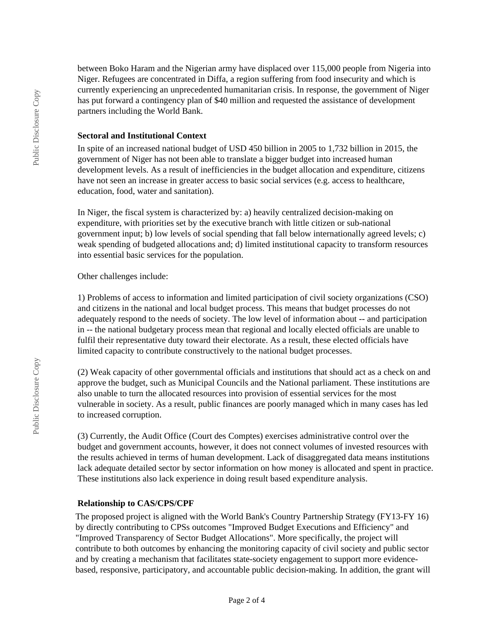between Boko Haram and the Nigerian army have displaced over 115,000 people from Nigeria into Niger. Refugees are concentrated in Diffa, a region suffering from food insecurity and which is currently experiencing an unprecedented humanitarian crisis. In response, the government of Niger has put forward a contingency plan of \$40 million and requested the assistance of development partners including the World Bank.

#### **Sectoral and Institutional Context**

In spite of an increased national budget of USD 450 billion in 2005 to 1,732 billion in 2015, the government of Niger has not been able to translate a bigger budget into increased human development levels. As a result of inefficiencies in the budget allocation and expenditure, citizens have not seen an increase in greater access to basic social services (e.g. access to healthcare, education, food, water and sanitation).

In Niger, the fiscal system is characterized by: a) heavily centralized decision-making on expenditure, with priorities set by the executive branch with little citizen or sub-national government input; b) low levels of social spending that fall below internationally agreed levels; c) weak spending of budgeted allocations and; d) limited institutional capacity to transform resources into essential basic services for the population.

Other challenges include:

1) Problems of access to information and limited participation of civil society organizations (CSO) and citizens in the national and local budget process. This means that budget processes do not adequately respond to the needs of society. The low level of information about -- and participation in -- the national budgetary process mean that regional and locally elected officials are unable to fulfil their representative duty toward their electorate. As a result, these elected officials have limited capacity to contribute constructively to the national budget processes.

(2) Weak capacity of other governmental officials and institutions that should act as a check on and approve the budget, such as Municipal Councils and the National parliament. These institutions are also unable to turn the allocated resources into provision of essential services for the most vulnerable in society. As a result, public finances are poorly managed which in many cases has led to increased corruption.

(3) Currently, the Audit Office (Court des Comptes) exercises administrative control over the budget and government accounts, however, it does not connect volumes of invested resources with the results achieved in terms of human development. Lack of disaggregated data means institutions lack adequate detailed sector by sector information on how money is allocated and spent in practice. These institutions also lack experience in doing result based expenditure analysis.

# **Relationship to CAS/CPS/CPF**

The proposed project is aligned with the World Bank's Country Partnership Strategy (FY13-FY 16) by directly contributing to CPSs outcomes "Improved Budget Executions and Efficiency" and "Improved Transparency of Sector Budget Allocations". More specifically, the project will contribute to both outcomes by enhancing the monitoring capacity of civil society and public sector and by creating a mechanism that facilitates state-society engagement to support more evidencebased, responsive, participatory, and accountable public decision-making. In addition, the grant will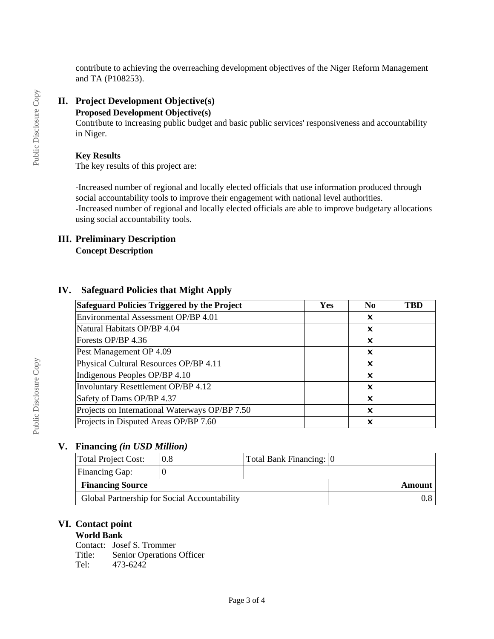contribute to achieving the overreaching development objectives of the Niger Reform Management and TA (P108253).

# **II. Project Development Objective(s)**

#### **Proposed Development Objective(s)**

Contribute to increasing public budget and basic public services' responsiveness and accountability in Niger.

#### **Key Results**

The key results of this project are:

-Increased number of regional and locally elected officials that use information produced through social accountability tools to improve their engagement with national level authorities. -Increased number of regional and locally elected officials are able to improve budgetary allocations using social accountability tools.

#### **III. Preliminary Description Concept Description**

### **IV. Safeguard Policies that Might Apply**

| Safeguard Policies Triggered by the Project    | Yes | N <sub>0</sub> | TBE |
|------------------------------------------------|-----|----------------|-----|
| Environmental Assessment OP/BP 4.01            |     | x              |     |
| Natural Habitats OP/BP 4.04                    |     | x              |     |
| Forests OP/BP 4.36                             |     | X              |     |
| Pest Management OP 4.09                        |     | x              |     |
| Physical Cultural Resources OP/BP 4.11         |     | X              |     |
| Indigenous Peoples OP/BP 4.10                  |     | X              |     |
| Involuntary Resettlement OP/BP 4.12            |     | X              |     |
| Safety of Dams OP/BP 4.37                      |     | x              |     |
| Projects on International Waterways OP/BP 7.50 |     | x              |     |
| Projects in Disputed Areas OP/BP 7.60          |     | x              |     |

# **V. Financing** *(in USD Million)*

| Total Project Cost:     | 0.8                                          | Total Bank Financing: 0 |  |
|-------------------------|----------------------------------------------|-------------------------|--|
| <b>Financing Gap:</b>   |                                              |                         |  |
| <b>Financing Source</b> |                                              | Amount                  |  |
|                         | Global Partnership for Social Accountability |                         |  |

# **VI. Contact point**

#### **World Bank**

Contact: Josef S. Trommer Title: Senior Operations Officer Tel: 473-6242